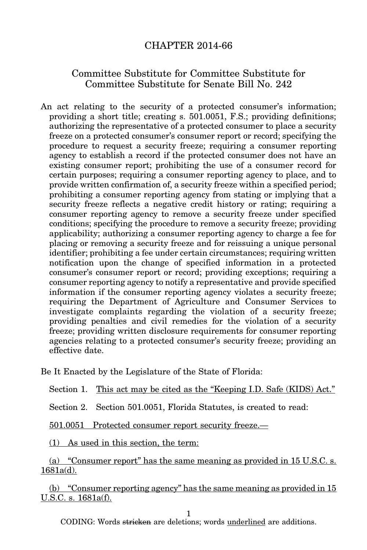## CHAPTER 2014-66

## Committee Substitute for Committee Substitute for Committee Substitute for Senate Bill No. 242

An act relating to the security of a protected consumer's information; providing a short title; creating s. 501.0051, F.S.; providing definitions; authorizing the representative of a protected consumer to place a security freeze on a protected consumer's consumer report or record; specifying the procedure to request a security freeze; requiring a consumer reporting agency to establish a record if the protected consumer does not have an existing consumer report; prohibiting the use of a consumer record for certain purposes; requiring a consumer reporting agency to place, and to provide written confirmation of, a security freeze within a specified period; prohibiting a consumer reporting agency from stating or implying that a security freeze reflects a negative credit history or rating; requiring a consumer reporting agency to remove a security freeze under specified conditions; specifying the procedure to remove a security freeze; providing applicability; authorizing a consumer reporting agency to charge a fee for placing or removing a security freeze and for reissuing a unique personal identifier; prohibiting a fee under certain circumstances; requiring written notification upon the change of specified information in a protected consumer's consumer report or record; providing exceptions; requiring a consumer reporting agency to notify a representative and provide specified information if the consumer reporting agency violates a security freeze; requiring the Department of Agriculture and Consumer Services to investigate complaints regarding the violation of a security freeze; providing penalties and civil remedies for the violation of a security freeze; providing written disclosure requirements for consumer reporting agencies relating to a protected consumer's security freeze; providing an effective date.

Be It Enacted by the Legislature of the State of Florida:

Section 1. This act may be cited as the "Keeping I.D. Safe (KIDS) Act."

Section 2. Section 501.0051, Florida Statutes, is created to read:

501.0051 Protected consumer report security freeze.—

(1) As used in this section, the term:

(a) "Consumer report" has the same meaning as provided in 15 U.S.C. s. 1681a(d).

(b) "Consumer reporting agency" has the same meaning as provided in 15 U.S.C. s. 1681a(f).

1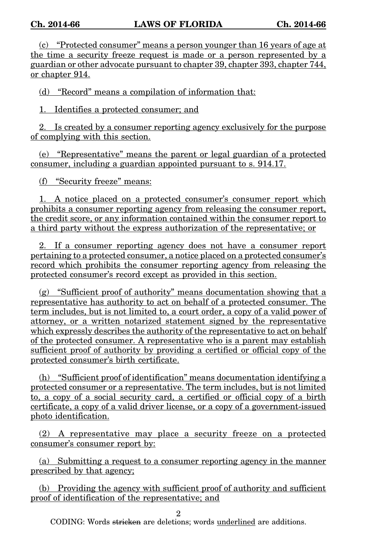(c) "Protected consumer" means a person younger than 16 years of age at the time a security freeze request is made or a person represented by a guardian or other advocate pursuant to chapter 39, chapter 393, chapter 744, or chapter 914.

(d) "Record" means a compilation of information that:

1. Identifies a protected consumer; and

2. Is created by a consumer reporting agency exclusively for the purpose of complying with this section.

(e) "Representative" means the parent or legal guardian of a protected consumer, including a guardian appointed pursuant to s. 914.17.

(f) "Security freeze" means:

1. A notice placed on a protected consumer's consumer report which prohibits a consumer reporting agency from releasing the consumer report, the credit score, or any information contained within the consumer report to a third party without the express authorization of the representative; or

2. If a consumer reporting agency does not have a consumer report pertaining to a protected consumer, a notice placed on a protected consumer's record which prohibits the consumer reporting agency from releasing the protected consumer's record except as provided in this section.

(g) "Sufficient proof of authority" means documentation showing that a representative has authority to act on behalf of a protected consumer. The term includes, but is not limited to, a court order, a copy of a valid power of attorney, or a written notarized statement signed by the representative which expressly describes the authority of the representative to act on behalf of the protected consumer. A representative who is a parent may establish sufficient proof of authority by providing a certified or official copy of the protected consumer's birth certificate.

(h) "Sufficient proof of identification" means documentation identifying a protected consumer or a representative. The term includes, but is not limited to, a copy of a social security card, a certified or official copy of a birth certificate, a copy of a valid driver license, or a copy of a government-issued photo identification.

(2) A representative may place a security freeze on a protected consumer's consumer report by:

(a) Submitting a request to a consumer reporting agency in the manner prescribed by that agency;

(b) Providing the agency with sufficient proof of authority and sufficient proof of identification of the representative; and

2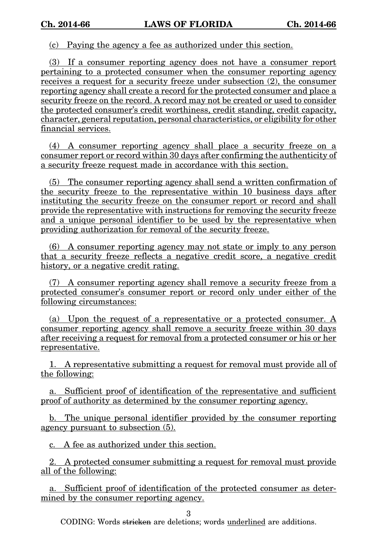(c) Paying the agency a fee as authorized under this section.

(3) If a consumer reporting agency does not have a consumer report pertaining to a protected consumer when the consumer reporting agency receives a request for a security freeze under subsection (2), the consumer reporting agency shall create a record for the protected consumer and place a security freeze on the record. A record may not be created or used to consider the protected consumer's credit worthiness, credit standing, credit capacity, character, general reputation, personal characteristics, or eligibility for other financial services.

(4) A consumer reporting agency shall place a security freeze on a consumer report or record within 30 days after confirming the authenticity of a security freeze request made in accordance with this section.

(5) The consumer reporting agency shall send a written confirmation of the security freeze to the representative within 10 business days after instituting the security freeze on the consumer report or record and shall provide the representative with instructions for removing the security freeze and a unique personal identifier to be used by the representative when providing authorization for removal of the security freeze.

(6) A consumer reporting agency may not state or imply to any person that a security freeze reflects a negative credit score, a negative credit history, or a negative credit rating.

(7) A consumer reporting agency shall remove a security freeze from a protected consumer's consumer report or record only under either of the following circumstances:

(a) Upon the request of a representative or a protected consumer. A consumer reporting agency shall remove a security freeze within 30 days after receiving a request for removal from a protected consumer or his or her representative.

1. A representative submitting a request for removal must provide all of the following:

a. Sufficient proof of identification of the representative and sufficient proof of authority as determined by the consumer reporting agency.

b. The unique personal identifier provided by the consumer reporting agency pursuant to subsection (5).

c. A fee as authorized under this section.

2. A protected consumer submitting a request for removal must provide all of the following:

a. Sufficient proof of identification of the protected consumer as determined by the consumer reporting agency.

3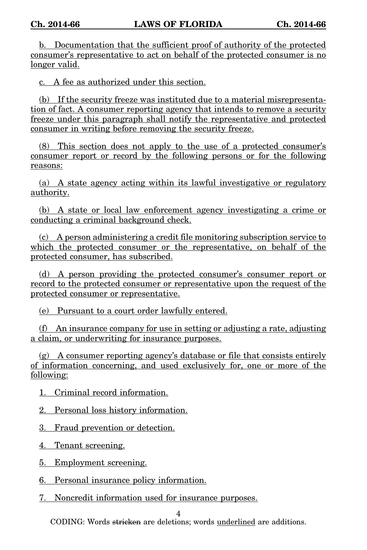b. Documentation that the sufficient proof of authority of the protected consumer's representative to act on behalf of the protected consumer is no longer valid.

c. A fee as authorized under this section.

(b) If the security freeze was instituted due to a material misrepresentation of fact. A consumer reporting agency that intends to remove a security freeze under this paragraph shall notify the representative and protected consumer in writing before removing the security freeze.

(8) This section does not apply to the use of a protected consumer's consumer report or record by the following persons or for the following reasons:

(a) A state agency acting within its lawful investigative or regulatory authority.

(b) A state or local law enforcement agency investigating a crime or conducting a criminal background check.

(c) A person administering a credit file monitoring subscription service to which the protected consumer or the representative, on behalf of the protected consumer, has subscribed.

(d) A person providing the protected consumer's consumer report or record to the protected consumer or representative upon the request of the protected consumer or representative.

(e) Pursuant to a court order lawfully entered.

(f) An insurance company for use in setting or adjusting a rate, adjusting a claim, or underwriting for insurance purposes.

(g) A consumer reporting agency's database or file that consists entirely of information concerning, and used exclusively for, one or more of the following:

1. Criminal record information.

2. Personal loss history information.

3. Fraud prevention or detection.

4. Tenant screening.

5. Employment screening.

6. Personal insurance policy information.

7. Noncredit information used for insurance purposes.

4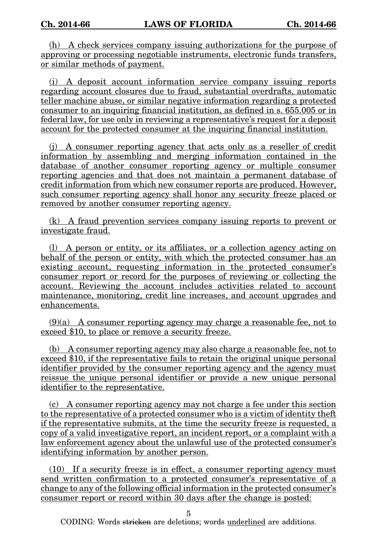(h) A check services company issuing authorizations for the purpose of approving or processing negotiable instruments, electronic funds transfers, or similar methods of payment.

(i) A deposit account information service company issuing reports regarding account closures due to fraud, substantial overdrafts, automatic teller machine abuse, or similar negative information regarding a protected consumer to an inquiring financial institution, as defined in s. 655.005 or in federal law, for use only in reviewing a representative's request for a deposit account for the protected consumer at the inquiring financial institution.

(j) A consumer reporting agency that acts only as a reseller of credit information by assembling and merging information contained in the database of another consumer reporting agency or multiple consumer reporting agencies and that does not maintain a permanent database of credit information from which new consumer reports are produced. However, such consumer reporting agency shall honor any security freeze placed or removed by another consumer reporting agency.

(k) A fraud prevention services company issuing reports to prevent or investigate fraud.

(l) A person or entity, or its affiliates, or a collection agency acting on behalf of the person or entity, with which the protected consumer has an existing account, requesting information in the protected consumer's consumer report or record for the purposes of reviewing or collecting the account. Reviewing the account includes activities related to account maintenance, monitoring, credit line increases, and account upgrades and enhancements.

 $(9)(a)$  A consumer reporting agency may charge a reasonable fee, not to exceed \$10, to place or remove a security freeze.

(b) A consumer reporting agency may also charge a reasonable fee, not to exceed \$10, if the representative fails to retain the original unique personal identifier provided by the consumer reporting agency and the agency must reissue the unique personal identifier or provide a new unique personal identifier to the representative.

(c) A consumer reporting agency may not charge a fee under this section to the representative of a protected consumer who is a victim of identity theft if the representative submits, at the time the security freeze is requested, a copy of a valid investigative report, an incident report, or a complaint with a law enforcement agency about the unlawful use of the protected consumer's identifying information by another person.

(10) If a security freeze is in effect, a consumer reporting agency must send written confirmation to a protected consumer's representative of a change to any of the following official information in the protected consumer's consumer report or record within 30 days after the change is posted:

5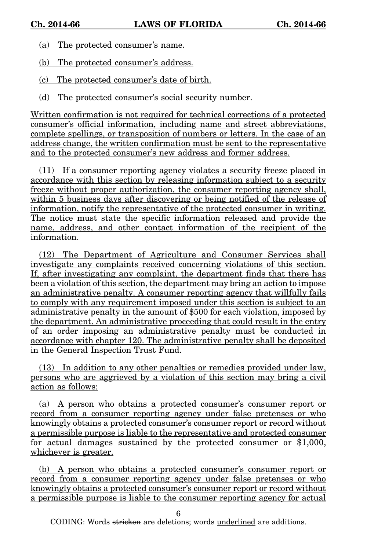- (a) The protected consumer's name.
- (b) The protected consumer's address.
- (c) The protected consumer's date of birth.
- (d) The protected consumer's social security number.

Written confirmation is not required for technical corrections of a protected consumer's official information, including name and street abbreviations, complete spellings, or transposition of numbers or letters. In the case of an address change, the written confirmation must be sent to the representative and to the protected consumer's new address and former address.

(11) If a consumer reporting agency violates a security freeze placed in accordance with this section by releasing information subject to a security freeze without proper authorization, the consumer reporting agency shall, within 5 business days after discovering or being notified of the release of information, notify the representative of the protected consumer in writing. The notice must state the specific information released and provide the name, address, and other contact information of the recipient of the information.

(12) The Department of Agriculture and Consumer Services shall investigate any complaints received concerning violations of this section. If, after investigating any complaint, the department finds that there has been a violation of this section, the department may bring an action to impose an administrative penalty. A consumer reporting agency that willfully fails to comply with any requirement imposed under this section is subject to an administrative penalty in the amount of \$500 for each violation, imposed by the department. An administrative proceeding that could result in the entry of an order imposing an administrative penalty must be conducted in accordance with chapter 120. The administrative penalty shall be deposited in the General Inspection Trust Fund.

(13) In addition to any other penalties or remedies provided under law, persons who are aggrieved by a violation of this section may bring a civil action as follows:

(a) A person who obtains a protected consumer's consumer report or record from a consumer reporting agency under false pretenses or who knowingly obtains a protected consumer's consumer report or record without a permissible purpose is liable to the representative and protected consumer for actual damages sustained by the protected consumer or \$1,000, whichever is greater.

(b) A person who obtains a protected consumer's consumer report or record from a consumer reporting agency under false pretenses or who knowingly obtains a protected consumer's consumer report or record without a permissible purpose is liable to the consumer reporting agency for actual

6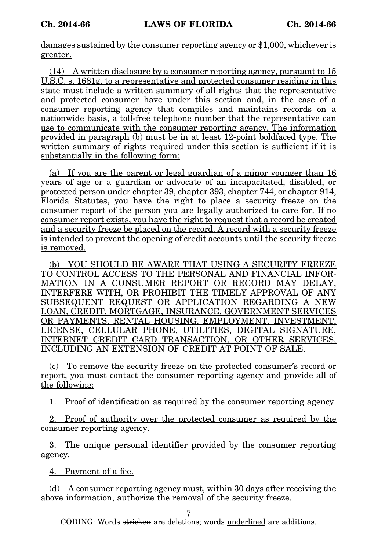damages sustained by the consumer reporting agency or \$1,000, whichever is greater.

(14) A written disclosure by a consumer reporting agency, pursuant to 15 U.S.C. s. 1681g, to a representative and protected consumer residing in this state must include a written summary of all rights that the representative and protected consumer have under this section and, in the case of a consumer reporting agency that compiles and maintains records on a nationwide basis, a toll-free telephone number that the representative can use to communicate with the consumer reporting agency. The information provided in paragraph (b) must be in at least 12-point boldfaced type. The written summary of rights required under this section is sufficient if it is substantially in the following form:

(a) If you are the parent or legal guardian of a minor younger than 16 years of age or a guardian or advocate of an incapacitated, disabled, or protected person under chapter 39, chapter 393, chapter 744, or chapter 914, Florida Statutes, you have the right to place a security freeze on the consumer report of the person you are legally authorized to care for. If no consumer report exists, you have the right to request that a record be created and a security freeze be placed on the record. A record with a security freeze is intended to prevent the opening of credit accounts until the security freeze is removed.

(b) YOU SHOULD BE AWARE THAT USING A SECURITY FREEZE TO CONTROL ACCESS TO THE PERSONAL AND FINANCIAL INFOR-MATION IN A CONSUMER REPORT OR RECORD MAY DELAY, INTERFERE WITH, OR PROHIBIT THE TIMELY APPROVAL OF ANY SUBSEQUENT REQUEST OR APPLICATION REGARDING A NEW LOAN, CREDIT, MORTGAGE, INSURANCE, GOVERNMENT SERVICES OR PAYMENTS, RENTAL HOUSING, EMPLOYMENT, INVESTMENT, LICENSE, CELLULAR PHONE, UTILITIES, DIGITAL SIGNATURE, INTERNET CREDIT CARD TRANSACTION, OR OTHER SERVICES, INCLUDING AN EXTENSION OF CREDIT AT POINT OF SALE.

(c) To remove the security freeze on the protected consumer's record or report, you must contact the consumer reporting agency and provide all of the following:

1. Proof of identification as required by the consumer reporting agency.

2. Proof of authority over the protected consumer as required by the consumer reporting agency.

3. The unique personal identifier provided by the consumer reporting agency.

4. Payment of a fee.

(d) A consumer reporting agency must, within 30 days after receiving the above information, authorize the removal of the security freeze.

7

CODING: Words <del>stricken</del> are deletions; words <u>underlined</u> are additions.